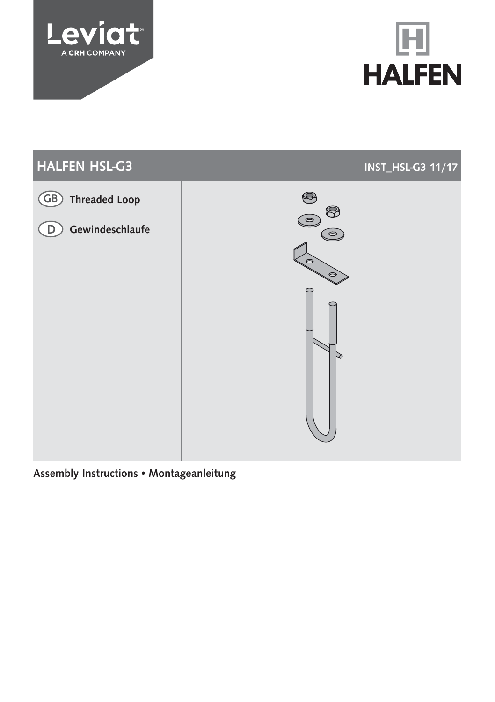





# Assembly Instructions • Montageanleitung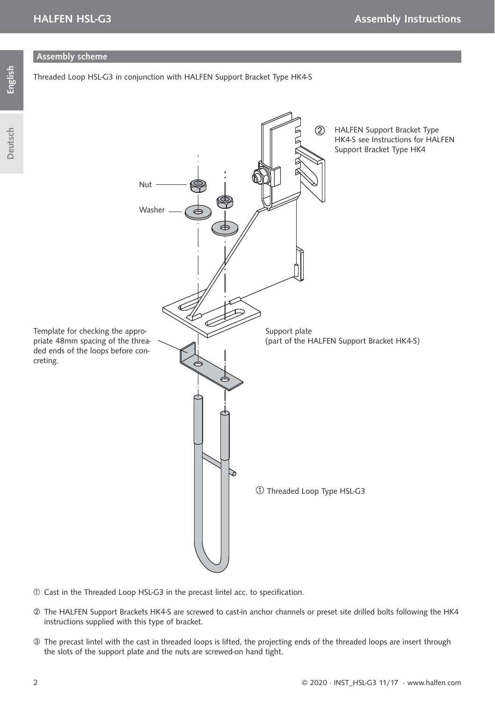### Assembly scheme

Threaded Loop HSL-G3 in conjunction with HALFEN Support Bracket Type HK4-S



- $O$  Cast in the Threaded Loop HSL-G3 in the precast lintel acc. to specification.
- The HALFEN Support Brackets HK4-S are screwed to cast-in anchor channels or preset site drilled bolts following the HK4 instructions supplied with this type of bracket.
- The precast lintel with the cast in threaded loops is lifted, the projecting ends of the threaded loops are insert through the slots of the support plate and the nuts are screwed-on hand tight.

Deutsch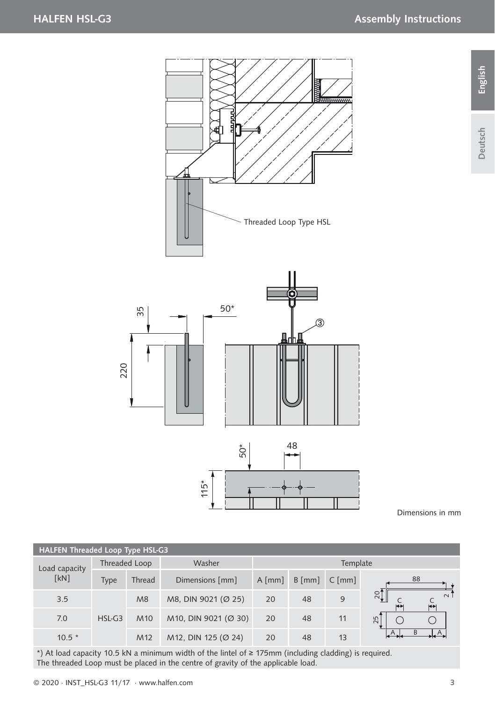# HALFEN HSL-G3 Assembly Instructions





Dimensions in mm

| HALFEN Threaded Loop Type HSL-G3 |               |                 |                      |          |                  |                  |                                                         |  |  |  |  |
|----------------------------------|---------------|-----------------|----------------------|----------|------------------|------------------|---------------------------------------------------------|--|--|--|--|
| Load capacity<br>[kN]            | Threaded Loop |                 | Washer               | Template |                  |                  |                                                         |  |  |  |  |
|                                  | Type          | Thread          | Dimensions [mm]      | $A$ [mm] | $B \text{ [mm]}$ | $C \text{ [mm]}$ | 88                                                      |  |  |  |  |
| 3.5                              | $HSL-G3$      | M8              | M8, DIN 9021 (Ø 25)  | 20       | 48               | 9                | $\frac{1}{2}$<br>$\sim$<br>$\overline{C}$<br><b>KIN</b> |  |  |  |  |
| 7.0                              |               | M <sub>10</sub> | M10, DIN 9021 (Ø 30) | 20       | 48               | 11               | 25                                                      |  |  |  |  |
| $10.5*$                          |               | M <sub>12</sub> | M12, DIN 125 (Ø 24)  | 20       | 48               | 13               |                                                         |  |  |  |  |

\*) At load capacity 10.5 kN a minimum width of the lintel of ≥ 175mm (including cladding) is required. The threaded Loop must be placed in the centre of gravity of the applicable load.

Deutsch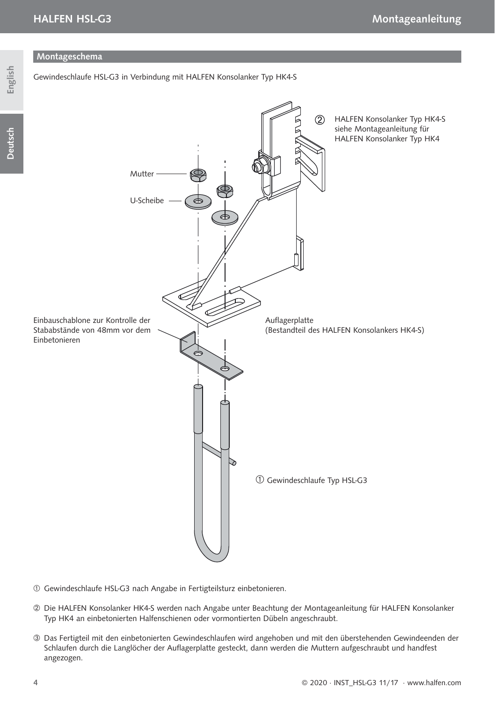Montageschema

Gewindeschlaufe HSL-G3 in Verbindung mit HALFEN Konsolanker Typ HK4-S

# English

 $(2)$ HALFEN Konsolanker Typ HK4-S siehe Montageanleitung für HALFEN Konsolanker Typ HK4 Mutter U-Scheibe Einbauschablone zur Kontrolle der Auflagerplatte Stababstände von 48mm vor dem (Bestandteil des HALFEN Konsolankers HK4-S) Einbetonieren Gewindeschlaufe Typ HSL-G3

- Gewindeschlaufe HSL-G3 nach Angabe in Fertigteilsturz einbetonieren.
- Die HALFEN Konsolanker HK4-S werden nach Angabe unter Beachtung der Montageanleitung für HALFEN Konsolanker Typ HK4 an einbetonierten Halfenschienen oder vormontierten Dübeln angeschraubt.
- Das Fertigteil mit den einbetonierten Gewindeschlaufen wird angehoben und mit den überstehenden Gewindeenden der Schlaufen durch die Langlöcher der Auflagerplatte gesteckt, dann werden die Muttern aufgeschraubt und handfest angezogen.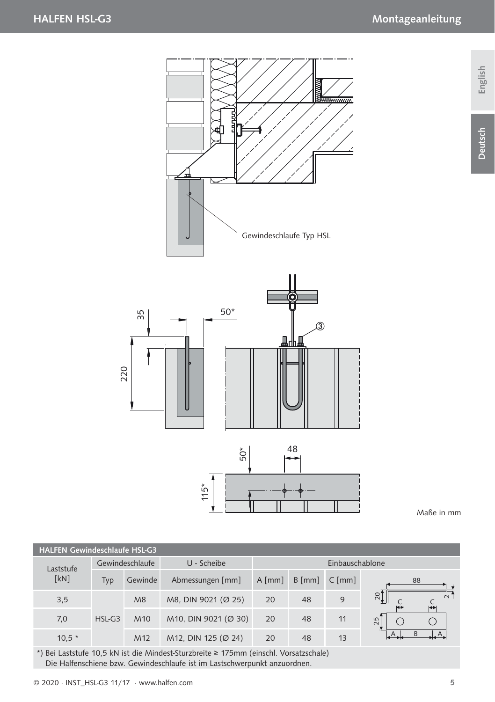



Maße in mm

| <b>HALFEN Gewindeschlaufe HSL-G3</b> |                 |                 |                      |                  |                  |                  |                                                         |  |  |  |  |
|--------------------------------------|-----------------|-----------------|----------------------|------------------|------------------|------------------|---------------------------------------------------------|--|--|--|--|
| Laststufe<br>[kN]                    | Gewindeschlaufe |                 | U - Scheibe          | Einbauschablone  |                  |                  |                                                         |  |  |  |  |
|                                      | Typ             | Gewinde         | Abmessungen [mm]     | $A \text{ [mm]}$ | $B \text{ [mm]}$ | $C \text{ [mm]}$ | 88                                                      |  |  |  |  |
| 3,5                                  | HSL-G3          | M8              | M8, DIN 9021 (Ø 25)  | 20               | 48               | 9                | $\overline{5}$<br>$\sim$<br>$\overline{G}$<br>$+$<br>25 |  |  |  |  |
| 7,0                                  |                 | M <sub>10</sub> | M10, DIN 9021 (Ø 30) | 20               | 48               | 11               |                                                         |  |  |  |  |
| $10,5 *$                             |                 | M <sub>12</sub> | M12, DIN 125 (Ø 24)  | 20               | 48               | 13               |                                                         |  |  |  |  |

\*) Bei Laststufe 10,5 kN ist die Mindest-Sturzbreite ≥ 175mm (einschl. Vorsatzschale) Die Halfenschiene bzw. Gewindeschlaufe ist im Lastschwerpunkt anzuordnen.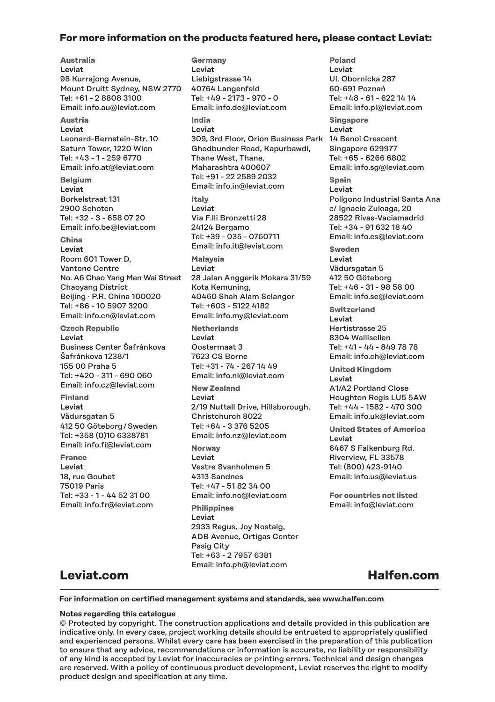### **For more information on the products featured here, please contact Leviat:**

**Australia Leviat** 98 Kurrajong Avenue, Mount Druitt Sydney, NSW 2770 Tel: +61 - 2 8808 3100 Email: info.au@leviat.com **Austria Leviat** Leonard-Bernstein-Str. 10 Saturn Tower, 1220 Wien Tel: +43 - 1 - 259 6770 Email: info.at@leviat.com **Belgium Leviat** Borkelstraat 131 2900 Schoten Tel: +32 - 3 - 658 07 20 Email: info.be@leviat.com **China Leviat** Room 601 Tower D, Vantone Centre No. A6 Chao Yang Men Wai Street 28 Jalan Anggerik Mokara 31/59 Chaoyang District Beijing · P.R. China 100020 Tel: +86 - 10 5907 3200 Email: info.cn@leviat.com **Czech Republic Leviat** Business Center Šafránkova Šafránkova 1238/1 155 00 Praha 5 Tel: +420 - 311 - 690 060 Email: info.cz@leviat.com **Finland**

**Leviat** Vädursgatan 5 412 50 Göteborg / Sweden Tel: +358 (0)10 6338781 Email: info.fi@leviat.com

**France Leviat** 18, rue Goubet 75019 Paris Tel: +33 - 1 - 44 52 31 00 Email: info.fr@leviat.com

**Germany Leviat**  Liebigstrasse 14 40764 Langenfeld Tel: +49 - 2173 - 970 - 0 Email: info.de@leviat.com **India Leviat** 309, 3rd Floor, Orion Business Park 14 Benoi Crescent Ghodbunder Road, Kapurbawdi, Thane West, Thane, Maharashtra 400607 Tel: +91 - 22 2589 2032 Email: info.in@leviat.com **Italy Leviat** Via F.lli Bronzetti 28 24124 Bergamo Tel: +39 - 035 - 0760711 Email: info.it@leviat.com **Malaysia Leviat** Kota Kemuning, 40460 Shah Alam Selangor Tel: +603 - 5122 4182 Email: info.my@leviat.com **Netherlands Leviat** Oostermaat 3 7623 CS Borne

Tel: +31 - 74 - 267 14 49 Email: info.nl@leviat.com

**New Zealand Leviat** 2/19 Nuttall Drive, Hillsborough, Christchurch 8022 Tel: +64 - 3 376 5205 Email: info.nz@leviat.com

**Norway Leviat** Vestre Svanholmen 5 4313 Sandnes Tel: +47 - 51 82 34 00 Email: info.no@leviat.com

**Philippines Leviat** 2933 Regus, Joy Nostalg, ADB Avenue, Ortigas Center Pasig City Tel: +63 - 2 7957 6381 Email: info.ph@leviat.com

**Leviat** Ul. Obornicka 287 60-691 Poznań Tel: +48 - 61 - 622 14 14 Email: info.pl@leviat.com **Singapore Leviat** Singapore 629977 Tel: +65 - 6266 6802 Email: info.sg@leviat.com **Spain Leviat** Polígono Industrial Santa Ana c/ Ignacio Zuloaga, 20 28522 Rivas-Vaciamadrid Tel: +34 - 91 632 18 40 Email: info.es@leviat.com **Sweden Leviat** Vädursgatan 5 412 50 Göteborg Tel: +46 - 31 - 98 58 00 Email: info.se@leviat.com **Switzerland Leviat**

**Poland**

Hertistrasse 25 8304 Wallisellen Tel: +41 - 44 - 849 78 78 Email: info.ch@leviat.com

**United Kingdom Leviat** A1/A2 Portland Close Houghton Regis LU5 5AW Tel: +44 - 1582 - 470 300 Email: info.uk@leviat.com

**United States of America Leviat** 6467 S Falkenburg Rd. Riverview, FL 33578 Tel: (800) 423-9140 Email: info.us@leviat.us

**For countries not listed** Email: info@leviat.com

### **Leviat.com**

**Halfen.com**

**For information on certified management systems and standards, see www.halfen.com** 

#### **Notes regarding this catalogue**

© Protected by copyright. The construction applications and details provided in this publication are indicative only. In every case, project working details should be entrusted to appropriately qualified and experienced persons. Whilst every care has been exercised in the preparation of this publication to ensure that any advice, recommendations or information is accurate, no liability or responsibility of any kind is accepted by Leviat for inaccuracies or printing errors. Technical and design changes are reserved. With a policy of continuous product development, Leviat reserves the right to modify product design and specification at any time.